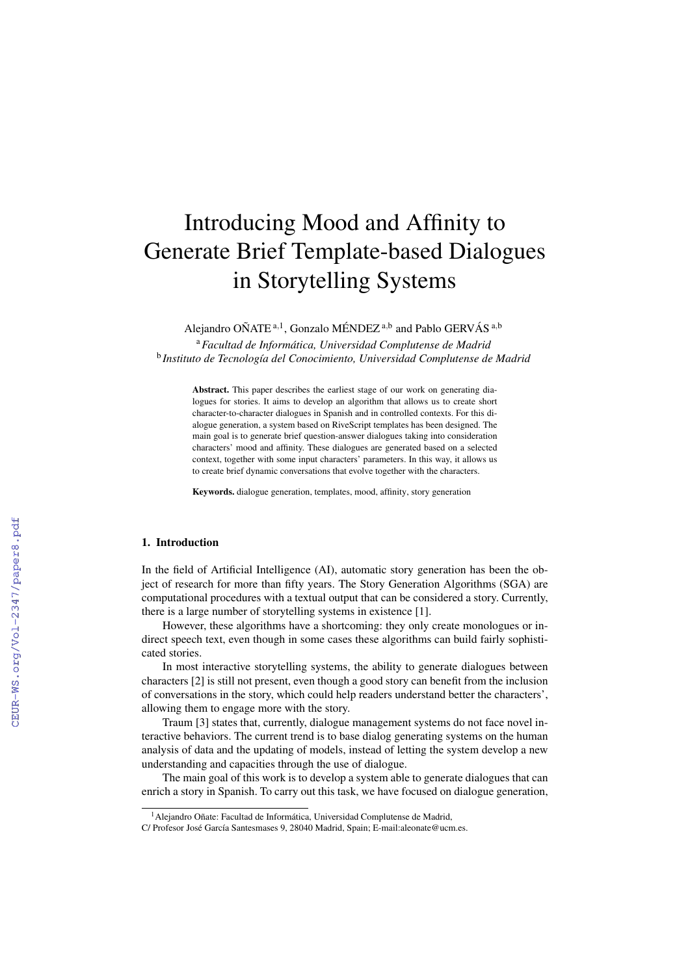# Introducing Mood and Affinity to Generate Brief Template-based Dialogues in Storytelling Systems

Alejandro OÑATE<sup>a,1</sup>, Gonzalo MÉNDEZ<sup>a,b</sup> and Pablo GERVÁS<sup>a,b</sup>

<sup>a</sup>*Facultad de Informatica, Universidad Complutense de Madrid ´* <sup>b</sup> Instituto de Tecnología del Conocimiento, Universidad Complutense de Madrid

Abstract. This paper describes the earliest stage of our work on generating dialogues for stories. It aims to develop an algorithm that allows us to create short character-to-character dialogues in Spanish and in controlled contexts. For this dialogue generation, a system based on RiveScript templates has been designed. The main goal is to generate brief question-answer dialogues taking into consideration characters' mood and affinity. These dialogues are generated based on a selected context, together with some input characters' parameters. In this way, it allows us to create brief dynamic conversations that evolve together with the characters.

Keywords. dialogue generation, templates, mood, affinity, story generation

#### 1. Introduction

In the field of Artificial Intelligence (AI), automatic story generation has been the object of research for more than fifty years. The Story Generation Algorithms (SGA) are computational procedures with a textual output that can be considered a story. Currently, there is a large number of storytelling systems in existence [1].

However, these algorithms have a shortcoming: they only create monologues or indirect speech text, even though in some cases these algorithms can build fairly sophisticated stories.

In most interactive storytelling systems, the ability to generate dialogues between characters [2] is still not present, even though a good story can benefit from the inclusion of conversations in the story, which could help readers understand better the characters', allowing them to engage more with the story.

Traum [3] states that, currently, dialogue management systems do not face novel interactive behaviors. The current trend is to base dialog generating systems on the human analysis of data and the updating of models, instead of letting the system develop a new understanding and capacities through the use of dialogue.

The main goal of this work is to develop a system able to generate dialogues that can enrich a story in Spanish. To carry out this task, we have focused on dialogue generation,

<sup>&</sup>lt;sup>1</sup> Alejandro Oñate: Facultad de Informática, Universidad Complutense de Madrid,

C/ Profesor José García Santesmases 9, 28040 Madrid, Spain; E-mail:aleonate@ucm.es.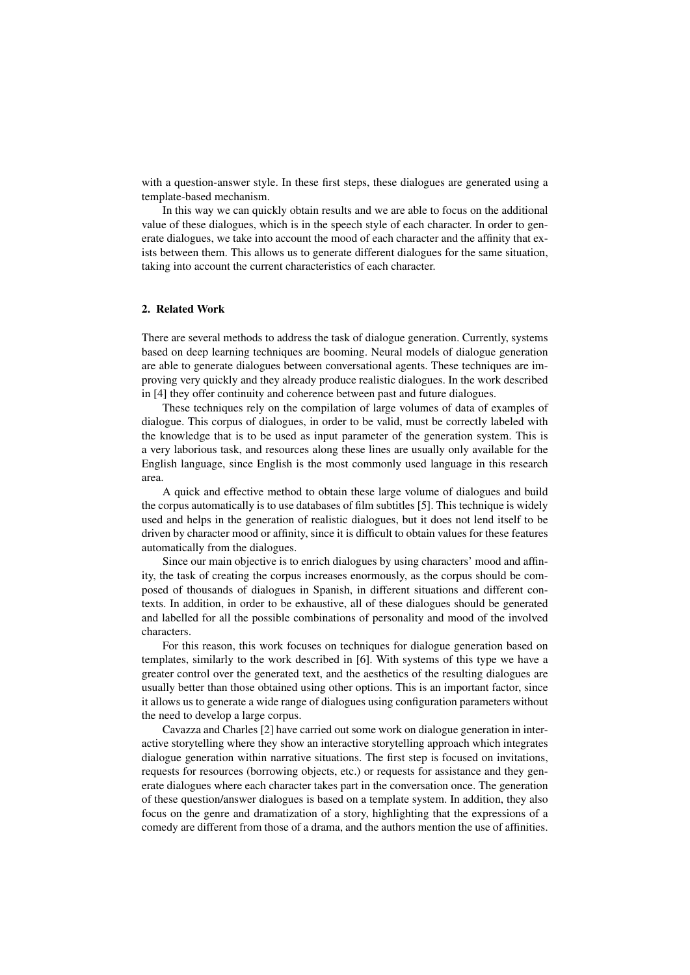with a question-answer style. In these first steps, these dialogues are generated using a template-based mechanism.

In this way we can quickly obtain results and we are able to focus on the additional value of these dialogues, which is in the speech style of each character. In order to generate dialogues, we take into account the mood of each character and the affinity that exists between them. This allows us to generate different dialogues for the same situation, taking into account the current characteristics of each character.

## 2. Related Work

There are several methods to address the task of dialogue generation. Currently, systems based on deep learning techniques are booming. Neural models of dialogue generation are able to generate dialogues between conversational agents. These techniques are improving very quickly and they already produce realistic dialogues. In the work described in [4] they offer continuity and coherence between past and future dialogues.

These techniques rely on the compilation of large volumes of data of examples of dialogue. This corpus of dialogues, in order to be valid, must be correctly labeled with the knowledge that is to be used as input parameter of the generation system. This is a very laborious task, and resources along these lines are usually only available for the English language, since English is the most commonly used language in this research area.

A quick and effective method to obtain these large volume of dialogues and build the corpus automatically is to use databases of film subtitles [5]. This technique is widely used and helps in the generation of realistic dialogues, but it does not lend itself to be driven by character mood or affinity, since it is difficult to obtain values for these features automatically from the dialogues.

Since our main objective is to enrich dialogues by using characters' mood and affinity, the task of creating the corpus increases enormously, as the corpus should be composed of thousands of dialogues in Spanish, in different situations and different contexts. In addition, in order to be exhaustive, all of these dialogues should be generated and labelled for all the possible combinations of personality and mood of the involved characters.

For this reason, this work focuses on techniques for dialogue generation based on templates, similarly to the work described in [6]. With systems of this type we have a greater control over the generated text, and the aesthetics of the resulting dialogues are usually better than those obtained using other options. This is an important factor, since it allows us to generate a wide range of dialogues using configuration parameters without the need to develop a large corpus.

Cavazza and Charles [2] have carried out some work on dialogue generation in interactive storytelling where they show an interactive storytelling approach which integrates dialogue generation within narrative situations. The first step is focused on invitations, requests for resources (borrowing objects, etc.) or requests for assistance and they generate dialogues where each character takes part in the conversation once. The generation of these question/answer dialogues is based on a template system. In addition, they also focus on the genre and dramatization of a story, highlighting that the expressions of a comedy are different from those of a drama, and the authors mention the use of affinities.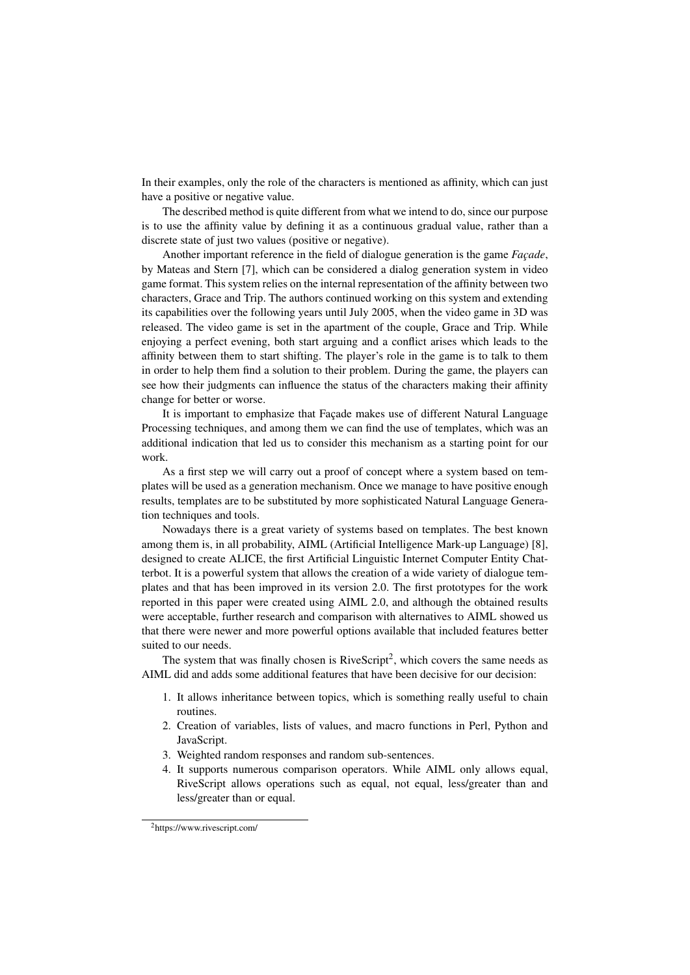In their examples, only the role of the characters is mentioned as affinity, which can just have a positive or negative value.

The described method is quite different from what we intend to do, since our purpose is to use the affinity value by defining it as a continuous gradual value, rather than a discrete state of just two values (positive or negative).

Another important reference in the field of dialogue generation is the game *Facade*, by Mateas and Stern [7], which can be considered a dialog generation system in video game format. This system relies on the internal representation of the affinity between two characters, Grace and Trip. The authors continued working on this system and extending its capabilities over the following years until July 2005, when the video game in 3D was released. The video game is set in the apartment of the couple, Grace and Trip. While enjoying a perfect evening, both start arguing and a conflict arises which leads to the affinity between them to start shifting. The player's role in the game is to talk to them in order to help them find a solution to their problem. During the game, the players can see how their judgments can influence the status of the characters making their affinity change for better or worse.

It is important to emphasize that Façade makes use of different Natural Language Processing techniques, and among them we can find the use of templates, which was an additional indication that led us to consider this mechanism as a starting point for our work.

As a first step we will carry out a proof of concept where a system based on templates will be used as a generation mechanism. Once we manage to have positive enough results, templates are to be substituted by more sophisticated Natural Language Generation techniques and tools.

Nowadays there is a great variety of systems based on templates. The best known among them is, in all probability, AIML (Artificial Intelligence Mark-up Language) [8], designed to create ALICE, the first Artificial Linguistic Internet Computer Entity Chatterbot. It is a powerful system that allows the creation of a wide variety of dialogue templates and that has been improved in its version 2.0. The first prototypes for the work reported in this paper were created using AIML 2.0, and although the obtained results were acceptable, further research and comparison with alternatives to AIML showed us that there were newer and more powerful options available that included features better suited to our needs.

The system that was finally chosen is  $RiveScript<sup>2</sup>$ , which covers the same needs as AIML did and adds some additional features that have been decisive for our decision:

- 1. It allows inheritance between topics, which is something really useful to chain routines.
- 2. Creation of variables, lists of values, and macro functions in Perl, Python and JavaScript.
- 3. Weighted random responses and random sub-sentences.
- 4. It supports numerous comparison operators. While AIML only allows equal, RiveScript allows operations such as equal, not equal, less/greater than and less/greater than or equal.

<sup>2</sup>https://www.rivescript.com/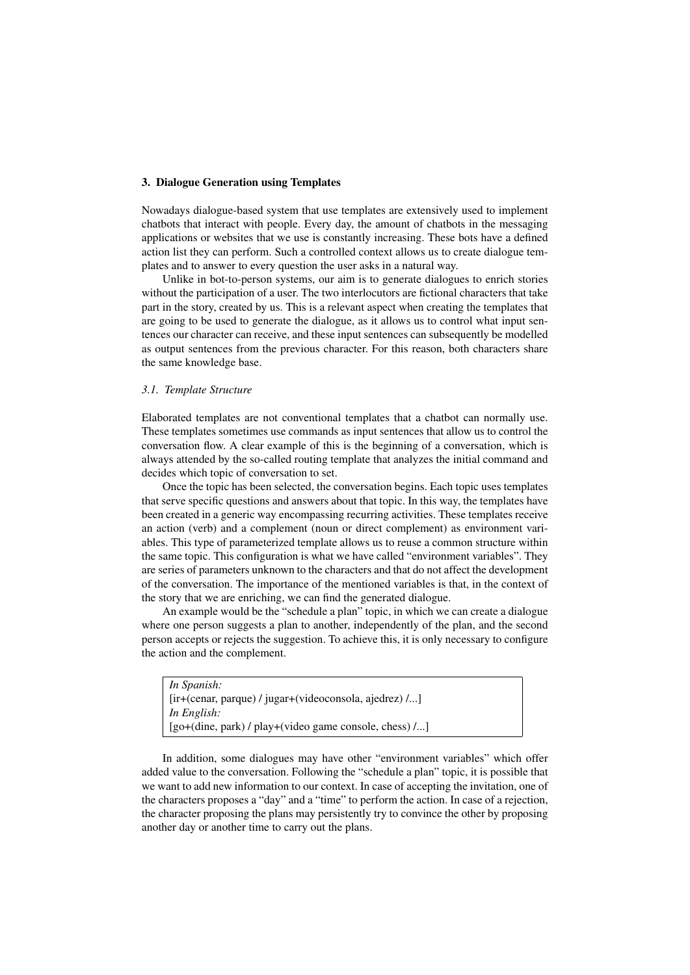# 3. Dialogue Generation using Templates

Nowadays dialogue-based system that use templates are extensively used to implement chatbots that interact with people. Every day, the amount of chatbots in the messaging applications or websites that we use is constantly increasing. These bots have a defined action list they can perform. Such a controlled context allows us to create dialogue templates and to answer to every question the user asks in a natural way.

Unlike in bot-to-person systems, our aim is to generate dialogues to enrich stories without the participation of a user. The two interlocutors are fictional characters that take part in the story, created by us. This is a relevant aspect when creating the templates that are going to be used to generate the dialogue, as it allows us to control what input sentences our character can receive, and these input sentences can subsequently be modelled as output sentences from the previous character. For this reason, both characters share the same knowledge base.

#### *3.1. Template Structure*

Elaborated templates are not conventional templates that a chatbot can normally use. These templates sometimes use commands as input sentences that allow us to control the conversation flow. A clear example of this is the beginning of a conversation, which is always attended by the so-called routing template that analyzes the initial command and decides which topic of conversation to set.

Once the topic has been selected, the conversation begins. Each topic uses templates that serve specific questions and answers about that topic. In this way, the templates have been created in a generic way encompassing recurring activities. These templates receive an action (verb) and a complement (noun or direct complement) as environment variables. This type of parameterized template allows us to reuse a common structure within the same topic. This configuration is what we have called "environment variables". They are series of parameters unknown to the characters and that do not affect the development of the conversation. The importance of the mentioned variables is that, in the context of the story that we are enriching, we can find the generated dialogue.

An example would be the "schedule a plan" topic, in which we can create a dialogue where one person suggests a plan to another, independently of the plan, and the second person accepts or rejects the suggestion. To achieve this, it is only necessary to configure the action and the complement.

| In Spanish:                                               |
|-----------------------------------------------------------|
| [ir+(cenar, parque) / jugar+(videoconsola, ajedrez) /]    |
| In English:                                               |
| $[go+(dine, park) / play+(video game console, chess) / ]$ |
|                                                           |

In addition, some dialogues may have other "environment variables" which offer added value to the conversation. Following the "schedule a plan" topic, it is possible that we want to add new information to our context. In case of accepting the invitation, one of the characters proposes a "day" and a "time" to perform the action. In case of a rejection, the character proposing the plans may persistently try to convince the other by proposing another day or another time to carry out the plans.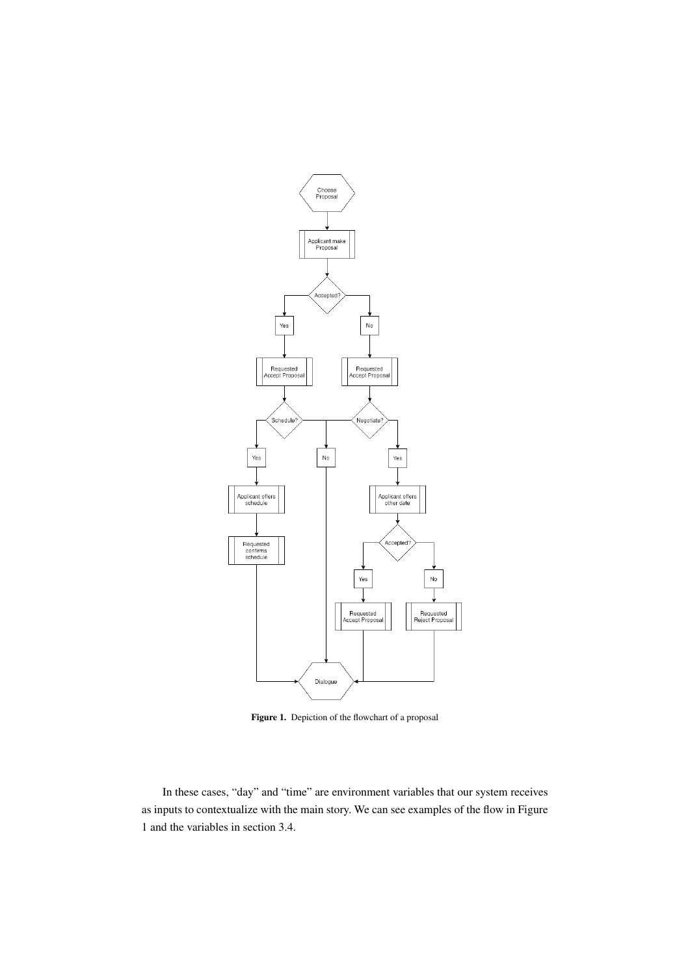

Figure 1. Depiction of the flowchart of a proposal

In these cases, "day" and "time" are environment variables that our system receives as inputs to contextualize with the main story. We can see examples of the flow in Figure 1 and the variables in section 3.4.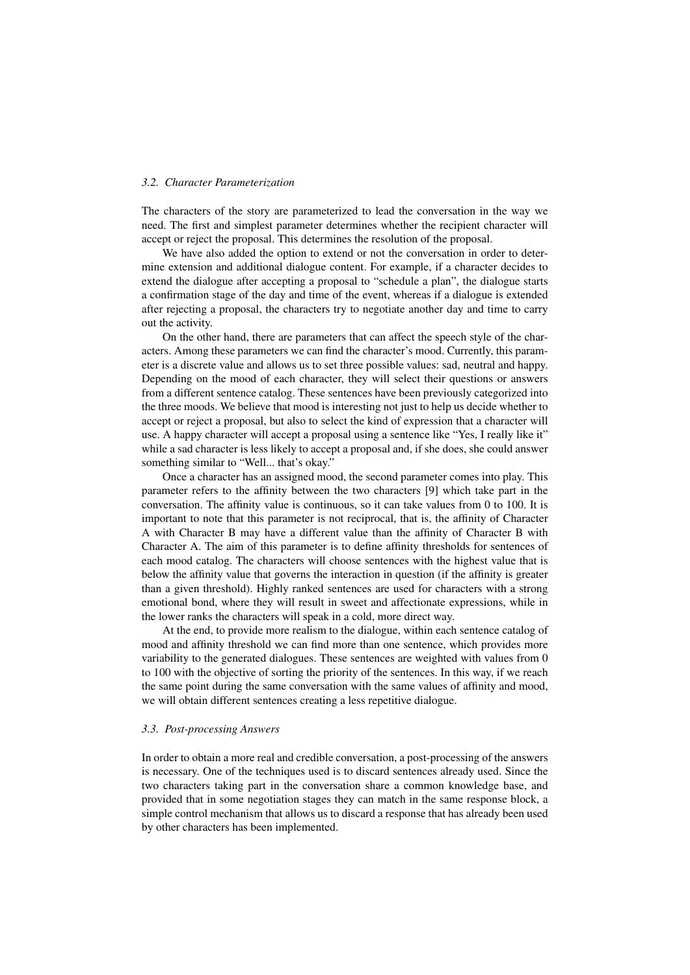# *3.2. Character Parameterization*

The characters of the story are parameterized to lead the conversation in the way we need. The first and simplest parameter determines whether the recipient character will accept or reject the proposal. This determines the resolution of the proposal.

We have also added the option to extend or not the conversation in order to determine extension and additional dialogue content. For example, if a character decides to extend the dialogue after accepting a proposal to "schedule a plan", the dialogue starts a confirmation stage of the day and time of the event, whereas if a dialogue is extended after rejecting a proposal, the characters try to negotiate another day and time to carry out the activity.

On the other hand, there are parameters that can affect the speech style of the characters. Among these parameters we can find the character's mood. Currently, this parameter is a discrete value and allows us to set three possible values: sad, neutral and happy. Depending on the mood of each character, they will select their questions or answers from a different sentence catalog. These sentences have been previously categorized into the three moods. We believe that mood is interesting not just to help us decide whether to accept or reject a proposal, but also to select the kind of expression that a character will use. A happy character will accept a proposal using a sentence like "Yes, I really like it" while a sad character is less likely to accept a proposal and, if she does, she could answer something similar to "Well... that's okay."

Once a character has an assigned mood, the second parameter comes into play. This parameter refers to the affinity between the two characters [9] which take part in the conversation. The affinity value is continuous, so it can take values from 0 to 100. It is important to note that this parameter is not reciprocal, that is, the affinity of Character A with Character B may have a different value than the affinity of Character B with Character A. The aim of this parameter is to define affinity thresholds for sentences of each mood catalog. The characters will choose sentences with the highest value that is below the affinity value that governs the interaction in question (if the affinity is greater than a given threshold). Highly ranked sentences are used for characters with a strong emotional bond, where they will result in sweet and affectionate expressions, while in the lower ranks the characters will speak in a cold, more direct way.

At the end, to provide more realism to the dialogue, within each sentence catalog of mood and affinity threshold we can find more than one sentence, which provides more variability to the generated dialogues. These sentences are weighted with values from 0 to 100 with the objective of sorting the priority of the sentences. In this way, if we reach the same point during the same conversation with the same values of affinity and mood, we will obtain different sentences creating a less repetitive dialogue.

#### *3.3. Post-processing Answers*

In order to obtain a more real and credible conversation, a post-processing of the answers is necessary. One of the techniques used is to discard sentences already used. Since the two characters taking part in the conversation share a common knowledge base, and provided that in some negotiation stages they can match in the same response block, a simple control mechanism that allows us to discard a response that has already been used by other characters has been implemented.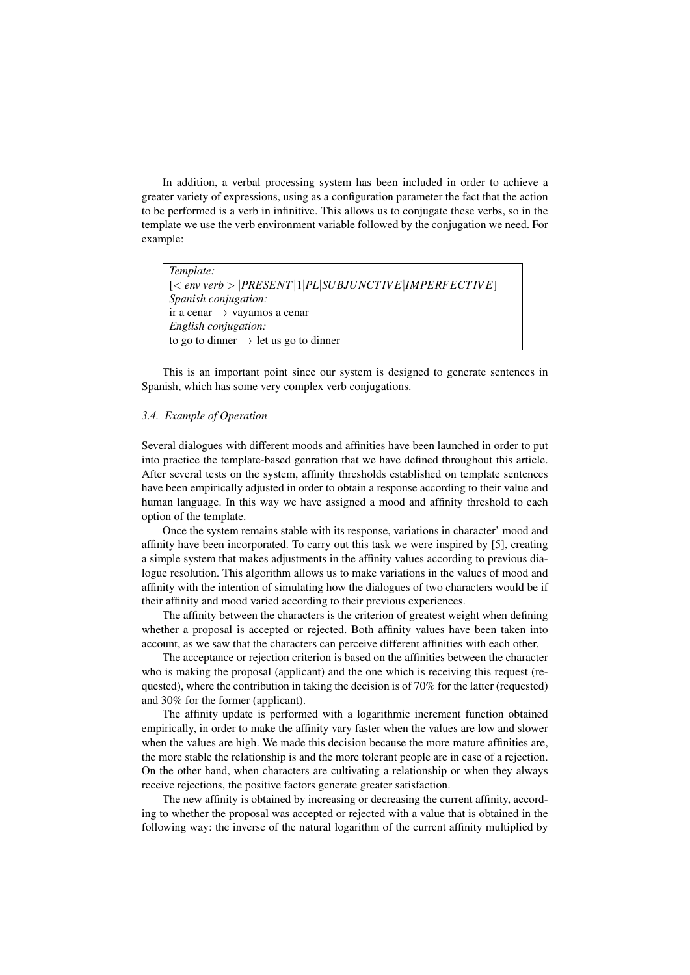In addition, a verbal processing system has been included in order to achieve a greater variety of expressions, using as a configuration parameter the fact that the action to be performed is a verb in infinitive. This allows us to conjugate these verbs, so in the template we use the verb environment variable followed by the conjugation we need. For example:

| Template:                                         |
|---------------------------------------------------|
| $[  PRESENT 1 PL SUBJUNCTIVE MPERFECTIVE]$        |
| <i>Spanish conjugation:</i>                       |
| ir a cenar $\rightarrow$ vayamos a cenar          |
| English conjugation:                              |
| to go to dinner $\rightarrow$ let us go to dinner |

This is an important point since our system is designed to generate sentences in Spanish, which has some very complex verb conjugations.

## *3.4. Example of Operation*

Several dialogues with different moods and affinities have been launched in order to put into practice the template-based genration that we have defined throughout this article. After several tests on the system, affinity thresholds established on template sentences have been empirically adjusted in order to obtain a response according to their value and human language. In this way we have assigned a mood and affinity threshold to each option of the template.

Once the system remains stable with its response, variations in character' mood and affinity have been incorporated. To carry out this task we were inspired by [5], creating a simple system that makes adjustments in the affinity values according to previous dialogue resolution. This algorithm allows us to make variations in the values of mood and affinity with the intention of simulating how the dialogues of two characters would be if their affinity and mood varied according to their previous experiences.

The affinity between the characters is the criterion of greatest weight when defining whether a proposal is accepted or rejected. Both affinity values have been taken into account, as we saw that the characters can perceive different affinities with each other.

The acceptance or rejection criterion is based on the affinities between the character who is making the proposal (applicant) and the one which is receiving this request (requested), where the contribution in taking the decision is of 70% for the latter (requested) and 30% for the former (applicant).

The affinity update is performed with a logarithmic increment function obtained empirically, in order to make the affinity vary faster when the values are low and slower when the values are high. We made this decision because the more mature affinities are, the more stable the relationship is and the more tolerant people are in case of a rejection. On the other hand, when characters are cultivating a relationship or when they always receive rejections, the positive factors generate greater satisfaction.

The new affinity is obtained by increasing or decreasing the current affinity, according to whether the proposal was accepted or rejected with a value that is obtained in the following way: the inverse of the natural logarithm of the current affinity multiplied by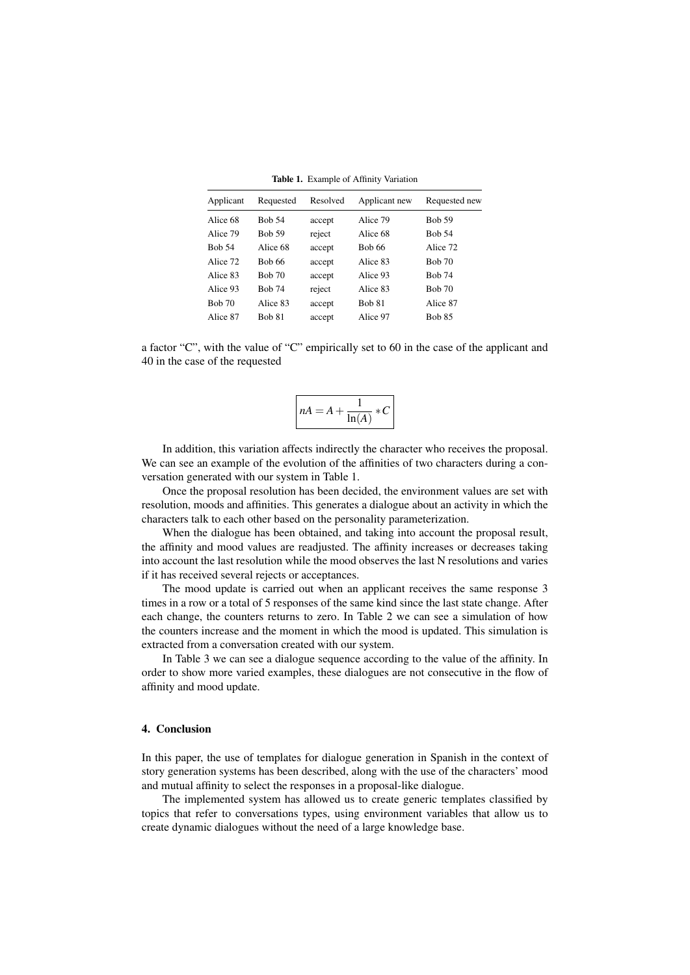| Applicant     | Requested     | Resolved | Applicant new | Requested new |
|---------------|---------------|----------|---------------|---------------|
| Alice 68      | <b>Bob 54</b> | accept   | Alice 79      | <b>Bob 59</b> |
| Alice 79      | <b>Bob 59</b> | reject   | Alice 68      | <b>Bob 54</b> |
| <b>Bob 54</b> | Alice 68      | accept   | <b>Bob 66</b> | Alice 72      |
| Alice 72      | <b>Bob 66</b> | accept   | Alice 83      | <b>Bob 70</b> |
| Alice 83      | <b>Bob 70</b> | accept   | Alice 93      | <b>Bob 74</b> |
| Alice 93      | <b>Bob 74</b> | reject   | Alice 83      | <b>Bob 70</b> |
| <b>Bob 70</b> | Alice 83      | accept   | <b>Bob 81</b> | Alice 87      |
| Alice 87      | <b>Bob 81</b> | accept   | Alice 97      | <b>Bob 85</b> |
|               |               |          |               |               |

Table 1. Example of Affinity Variation

a factor "C", with the value of "C" empirically set to 60 in the case of the applicant and 40 in the case of the requested

$$
nA = A + \frac{1}{\ln(A)} * C
$$

In addition, this variation affects indirectly the character who receives the proposal. We can see an example of the evolution of the affinities of two characters during a conversation generated with our system in Table 1.

Once the proposal resolution has been decided, the environment values are set with resolution, moods and affinities. This generates a dialogue about an activity in which the characters talk to each other based on the personality parameterization.

When the dialogue has been obtained, and taking into account the proposal result, the affinity and mood values are readjusted. The affinity increases or decreases taking into account the last resolution while the mood observes the last N resolutions and varies if it has received several rejects or acceptances.

The mood update is carried out when an applicant receives the same response 3 times in a row or a total of 5 responses of the same kind since the last state change. After each change, the counters returns to zero. In Table 2 we can see a simulation of how the counters increase and the moment in which the mood is updated. This simulation is extracted from a conversation created with our system.

In Table 3 we can see a dialogue sequence according to the value of the affinity. In order to show more varied examples, these dialogues are not consecutive in the flow of affinity and mood update.

## 4. Conclusion

In this paper, the use of templates for dialogue generation in Spanish in the context of story generation systems has been described, along with the use of the characters' mood and mutual affinity to select the responses in a proposal-like dialogue.

The implemented system has allowed us to create generic templates classified by topics that refer to conversations types, using environment variables that allow us to create dynamic dialogues without the need of a large knowledge base.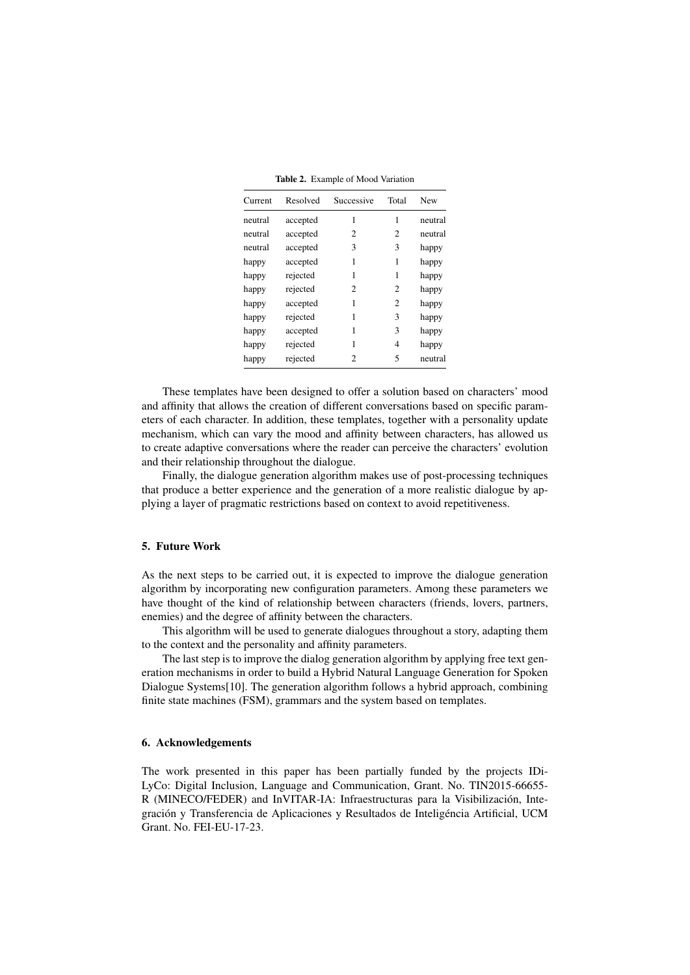Table 2. Example of Mood Variation

| Current | Resolved | Successive | Total          | New     |
|---------|----------|------------|----------------|---------|
| neutral | accepted | 1          | 1              | neutral |
| neutral | accepted | 2          | 2              | neutral |
| neutral | accepted | 3          | 3              | happy   |
| happy   | accepted | 1          | 1              | happy   |
| happy   | rejected | 1          | 1              | happy   |
| happy   | rejected | 2          | $\mathfrak{D}$ | happy   |
| happy   | accepted | 1          | $\overline{c}$ | happy   |
| happy   | rejected | 1          | 3              | happy   |
| happy   | accepted | 1          | 3              | happy   |
| happy   | rejected | 1          | 4              | happy   |
| happy   | rejected | 2          | 5              | neutral |

These templates have been designed to offer a solution based on characters' mood and affinity that allows the creation of different conversations based on specific parameters of each character. In addition, these templates, together with a personality update mechanism, which can vary the mood and affinity between characters, has allowed us to create adaptive conversations where the reader can perceive the characters' evolution and their relationship throughout the dialogue.

Finally, the dialogue generation algorithm makes use of post-processing techniques that produce a better experience and the generation of a more realistic dialogue by applying a layer of pragmatic restrictions based on context to avoid repetitiveness.

## 5. Future Work

As the next steps to be carried out, it is expected to improve the dialogue generation algorithm by incorporating new configuration parameters. Among these parameters we have thought of the kind of relationship between characters (friends, lovers, partners, enemies) and the degree of affinity between the characters.

This algorithm will be used to generate dialogues throughout a story, adapting them to the context and the personality and affinity parameters.

The last step is to improve the dialog generation algorithm by applying free text generation mechanisms in order to build a Hybrid Natural Language Generation for Spoken Dialogue Systems[10]. The generation algorithm follows a hybrid approach, combining finite state machines (FSM), grammars and the system based on templates.

#### 6. Acknowledgements

The work presented in this paper has been partially funded by the projects IDi-LyCo: Digital Inclusion, Language and Communication, Grant. No. TIN2015-66655- R (MINECO/FEDER) and InVITAR-IA: Infraestructuras para la Visibilizacion, Inte- ´ gración y Transferencia de Aplicaciones y Resultados de Inteligéncia Artificial, UCM Grant. No. FEI-EU-17-23.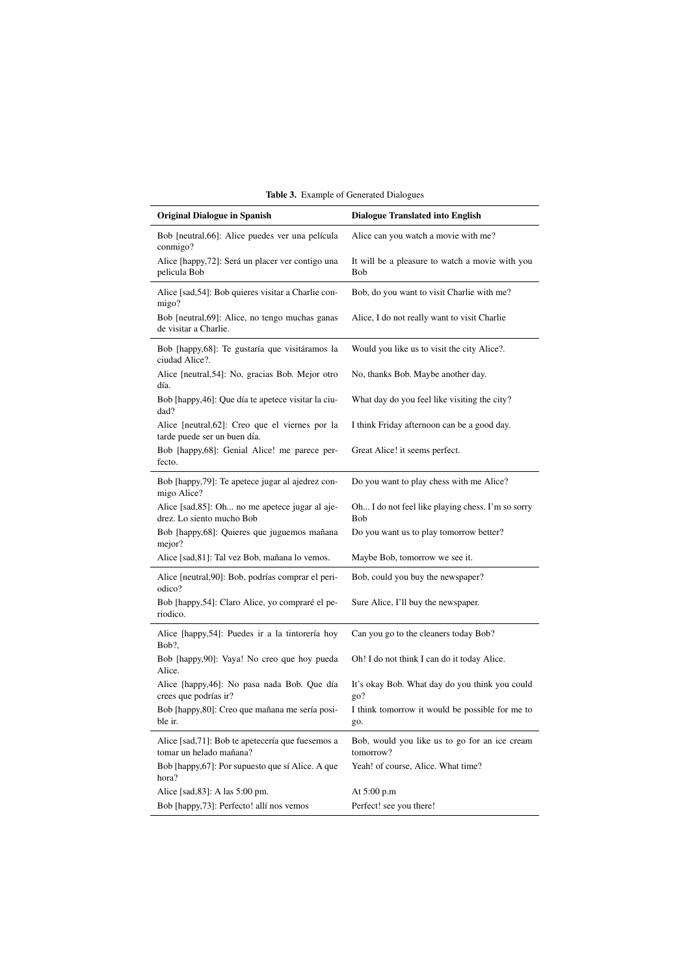| <b>Original Dialogue in Spanish</b>                                             | <b>Dialogue Translated into English</b>                    |
|---------------------------------------------------------------------------------|------------------------------------------------------------|
| Bob [neutral, 66]: Alice puedes ver una película<br>conmigo?                    | Alice can you watch a movie with me?                       |
| Alice [happy,72]: Será un placer ver contigo una<br>pelicula Bob                | It will be a pleasure to watch a movie with you<br>Bob     |
| Alice [sad, 54]: Bob quieres visitar a Charlie con-<br>migo?                    | Bob, do you want to visit Charlie with me?                 |
| Bob [neutral, 69]: Alice, no tengo muchas ganas<br>de visitar a Charlie.        | Alice, I do not really want to visit Charlie               |
| Bob [happy, 68]: Te gustaría que visitáramos la<br>ciudad Alice?.               | Would you like us to visit the city Alice?.                |
| Alice [neutral, 54]: No, gracias Bob. Mejor otro<br>día.                        | No, thanks Bob. Maybe another day.                         |
| Bob [happy,46]: Que día te apetece visitar la ciu-<br>dad?                      | What day do you feel like visiting the city?               |
| Alice [neutral, 62]: Creo que el viernes por la<br>tarde puede ser un buen día. | I think Friday afternoon can be a good day.                |
| Bob [happy,68]: Genial Alice! me parece per-<br>fecto.                          | Great Alice! it seems perfect.                             |
| Bob [happy,79]: Te apetece jugar al ajedrez con-<br>migo Alice?                 | Do you want to play chess with me Alice?                   |
| Alice [sad, 85]: Oh no me apetece jugar al aje-<br>drez. Lo siento mucho Bob    | Oh I do not feel like playing chess. I'm so sorry<br>Bob   |
| Bob [happy,68]: Quieres que juguemos mañana<br>mejor?                           | Do you want us to play tomorrow better?                    |
| Alice [sad, 81]: Tal vez Bob, mañana lo vemos.                                  | Maybe Bob, tomorrow we see it.                             |
| Alice [neutral,90]: Bob, podrías comprar el peri-<br>odico?                     | Bob, could you buy the newspaper?                          |
| Bob [happy,54]: Claro Alice, yo compraré el pe-<br>riodico.                     | Sure Alice, I'll buy the newspaper.                        |
| Alice [happy,54]: Puedes ir a la tintorería hoy<br>Bob?,                        | Can you go to the cleaners today Bob?                      |
| Bob [happy,90]: Vaya! No creo que hoy pueda<br>Alice.                           | Oh! I do not think I can do it today Alice.                |
| Alice [happy, 46]: No pasa nada Bob. Que día<br>crees que podrías ir?           | It's okay Bob. What day do you think you could<br>$g_0$ ?  |
| Bob [happy, 80]: Creo que mañana me sería posi-<br>ble ir.                      | I think tomorrow it would be possible for me to<br>go.     |
| Alice [sad, 71]: Bob te apetecería que fuesemos a<br>tomar un helado mañana?    | Bob, would you like us to go for an ice cream<br>tomorrow? |
| Bob [happy, 67]: Por supuesto que sí Alice. A que<br>hora?                      | Yeah! of course, Alice. What time?                         |
| Alice [sad, 83]: A las 5:00 pm.                                                 | At $5:00 p.m$                                              |
| Bob [happy,73]: Perfecto! allí nos vemos                                        | Perfect! see you there!                                    |